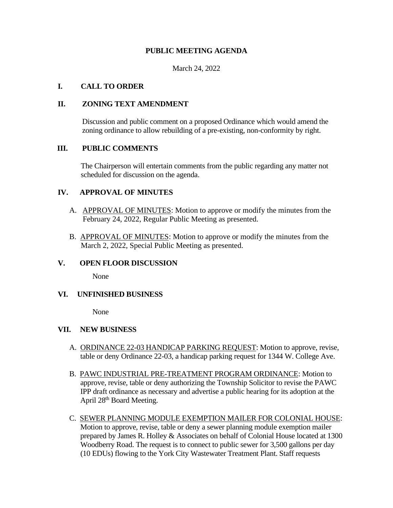# **PUBLIC MEETING AGENDA**

March 24, 2022

## **I. CALL TO ORDER**

#### **II. ZONING TEXT AMENDMENT**

 Discussion and public comment on a proposed Ordinance which would amend the zoning ordinance to allow rebuilding of a pre-existing, non-conformity by right.

## **III. PUBLIC COMMENTS**

The Chairperson will entertain comments from the public regarding any matter not scheduled for discussion on the agenda.

## **IV. APPROVAL OF MINUTES**

- A. APPROVAL OF MINUTES: Motion to approve or modify the minutes from the February 24, 2022, Regular Public Meeting as presented.
- B. APPROVAL OF MINUTES: Motion to approve or modify the minutes from the March 2, 2022, Special Public Meeting as presented.

#### **V. OPEN FLOOR DISCUSSION**

None

#### **VI. UNFINISHED BUSINESS**

None

#### **VII. NEW BUSINESS**

- A. ORDINANCE 22-03 HANDICAP PARKING REQUEST: Motion to approve, revise, table or deny Ordinance 22-03, a handicap parking request for 1344 W. College Ave.
- B. PAWC INDUSTRIAL PRE-TREATMENT PROGRAM ORDINANCE: Motion to approve, revise, table or deny authorizing the Township Solicitor to revise the PAWC IPP draft ordinance as necessary and advertise a public hearing for its adoption at the April 28<sup>th</sup> Board Meeting.
- C. SEWER PLANNING MODULE EXEMPTION MAILER FOR COLONIAL HOUSE: Motion to approve, revise, table or deny a sewer planning module exemption mailer prepared by James R. Holley & Associates on behalf of Colonial House located at 1300 Woodberry Road. The request is to connect to public sewer for 3,500 gallons per day (10 EDUs) flowing to the York City Wastewater Treatment Plant. Staff requests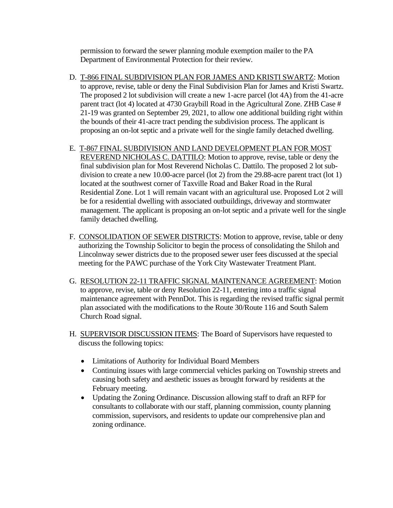permission to forward the sewer planning module exemption mailer to the PA Department of Environmental Protection for their review.

- D. T-866 FINAL SUBDIVISION PLAN FOR JAMES AND KRISTI SWARTZ: Motion to approve, revise, table or deny the Final Subdivision Plan for James and Kristi Swartz. The proposed 2 lot subdivision will create a new 1-acre parcel (lot 4A) from the 41-acre parent tract (lot 4) located at 4730 Graybill Road in the Agricultural Zone. ZHB Case # 21-19 was granted on September 29, 2021, to allow one additional building right within the bounds of their 41-acre tract pending the subdivision process. The applicant is proposing an on-lot septic and a private well for the single family detached dwelling.
- E. T-867 FINAL SUBDIVISION AND LAND DEVELOPMENT PLAN FOR MOST REVEREND NICHOLAS C. DATTILO: Motion to approve, revise, table or deny the final subdivision plan for Most Reverend Nicholas C. Dattilo. The proposed 2 lot sub division to create a new 10.00-acre parcel (lot 2) from the 29.88-acre parent tract (lot 1) located at the southwest corner of Taxville Road and Baker Road in the Rural Residential Zone. Lot 1 will remain vacant with an agricultural use. Proposed Lot 2 will be for a residential dwelling with associated outbuildings, driveway and stormwater management. The applicant is proposing an on-lot septic and a private well for the single family detached dwelling.
- F. CONSOLIDATION OF SEWER DISTRICTS: Motion to approve, revise, table or deny authorizing the Township Solicitor to begin the process of consolidating the Shiloh and Lincolnway sewer districts due to the proposed sewer user fees discussed at the special meeting for the PAWC purchase of the York City Wastewater Treatment Plant.
- G. RESOLUTION 22-11 TRAFFIC SIGNAL MAINTENANCE AGREEMENT: Motion to approve, revise, table or deny Resolution 22-11, entering into a traffic signal maintenance agreement with PennDot. This is regarding the revised traffic signal permit plan associated with the modifications to the Route 30/Route 116 and South Salem Church Road signal.
- H. SUPERVISOR DISCUSSION ITEMS: The Board of Supervisors have requested to discuss the following topics:
	- Limitations of Authority for Individual Board Members
	- Continuing issues with large commercial vehicles parking on Township streets and causing both safety and aesthetic issues as brought forward by residents at the February meeting.
	- Updating the Zoning Ordinance. Discussion allowing staff to draft an RFP for consultants to collaborate with our staff, planning commission, county planning commission, supervisors, and residents to update our comprehensive plan and zoning ordinance.